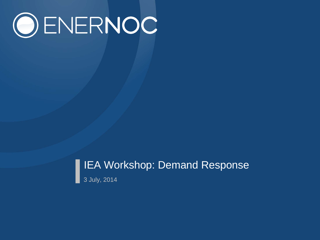# OENERNOC

# IEA Workshop: Demand Response 3 July, 2014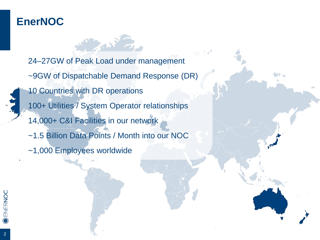## **EnerNOC**

24–27GW of Peak Load under management ~9GW of Dispatchable Demand Response (DR) 10 Countries with DR operations 100+ Utilities / System Operator relationships 14,000+ C&I Facilities in our network ~1.5 Billion Data Points / Month into our NOC ~1,000 Employees worldwide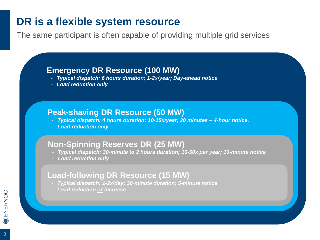## **DR is a flexible system resource**

The same participant is often capable of providing multiple grid services

#### **Emergency DR Resource (100 MW)**

- *Typical dispatch: 6 hours duration; 1-2x/year; Day-ahead notice*
- *Load reduction only*

#### **Peak-shaving DR Resource (50 MW)**

- *Typical dispatch: 4 hours duration; 10-15x/year; 30 minutes – 4-hour notice.*
- *Load reduction only*

#### **Non-Spinning Reserves DR (25 MW)**

- *Typical dispatch: 30-minute to 2 hours duration; 10-50x per year; 10-minute notice*
- *Load reduction only*

#### **Load-following DR Resource (15 MW)**

- *Typical dispatch: 1-2x/day; 30-minute duration; 5-minute notice*
- *Load reduction or increase*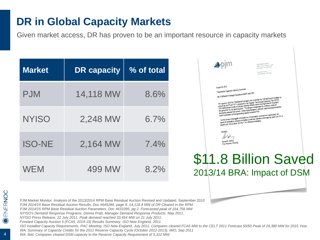## **DR in Global Capacity Markets**

Given market access, DR has proven to be an important resource in capacity markets

| <b>Market</b> | <b>DR capacity</b> | % of total |
|---------------|--------------------|------------|
| <b>PJM</b>    | 14,118 MW          | 8.6%       |
| <b>NYISO</b>  | 2,248 MW           | $6.7\%$    |
| <b>ISO-NE</b> | 2,164 MW           | $7.4\%$    |
| <b>WEM</b>    | 499 MW             | 8.2%       |

| Apim                                                                                                                                                                                                                                                                                                               | 955 Jefferson Avenue<br>Valley Forge Corporate Center<br>Norristown, PA 19403-2497<br>Steven R. Herling<br>Vice President - Planning                                                                                                                                                                                                                                                                                                                                                                                                                                                                                                                                                      |  |
|--------------------------------------------------------------------------------------------------------------------------------------------------------------------------------------------------------------------------------------------------------------------------------------------------------------------|-------------------------------------------------------------------------------------------------------------------------------------------------------------------------------------------------------------------------------------------------------------------------------------------------------------------------------------------------------------------------------------------------------------------------------------------------------------------------------------------------------------------------------------------------------------------------------------------------------------------------------------------------------------------------------------------|--|
| August 28, 2012<br>Transmission Expansion Advisory Committee<br>Re: PJM Board of Manager Decision on MAPP and PATH<br>recent commitment of new generating capacity in eastern PJM.<br>projects and remove them from the RTEP effective immediately.<br>Sincerely.<br>Steven R. Herling<br>Vice President, Planning | On August 24, 2012 the PJM Board of Managers met to consider the PJM staff recommendation to<br>remove the MAPP and PATH projects from the Regional Transmission Expansion Plan (RTEP).<br>P.JM staff reviewed results of analyses showing reliability drivers no longer exist for the project<br>throughout the 15-year planning cycle. The analyses incorporated the continued trends of<br>decreasing customer load growth, increasing participation in demand response programs and the<br>The PJM Board of Managers considered the communication received from stakeholders, and<br>results of the relability analyses completed by staff and decided to terminate the MAPP and PATH |  |
|                                                                                                                                                                                                                                                                                                                    | \$11.8 Billion Saved                                                                                                                                                                                                                                                                                                                                                                                                                                                                                                                                                                                                                                                                      |  |

2013/14 BRA: Impact of DSM

PJM Market Monitor. Analysis of the 2013/2014 RPM Base Residual Auction Revised and Updated, September 2010 *PJM 2014/15 Base Residual Auction Results, Doc #645284, page 9. 14,118.4 MW of DR Cleared in the RPM. PJM 2014/15 RPM Base Residual Auction Parameters, Doc #631095, pg 2. Forecasted peak of 164,758 MW NYISO's Demand Response Programs. Donna Pratt, Manager Demand Response Products. May 2011. NYISO Press Release, 22 July 2011. Peak demand reached 33,454 MW on 21 July 2011. Forward Capacity Auction 5 (FCA5, 2014-15) Results Summary, ISO New England, 2011.* 

*ISO Installed Capacity Requirements, PAC Meeting. ISO New England, July 2011. Compares cleared FCA5 MW to the CELT 2011 Forecast 50/50 Peak of 29,380 MW for 2015 Year.*  WA: Summary of Capacity Credits for the 2011 Reserve Capacity Cycle (October 2012-2013), IMO, Sep 2011

WA: Ibid. Compares cleared DSM capacity to the Reserve Capacity Requirement of 5,312 MW.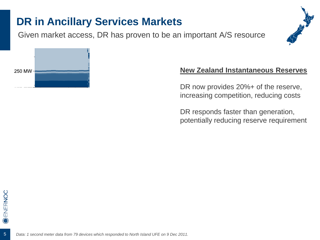## **DR in Ancillary Services Markets**

Given market access, DR has proven to be an important A/S resource





#### **New Zealand Instantaneous Reserves**

DR now provides 20%+ of the reserve, increasing competition, reducing costs

DR responds faster than generation, potentially reducing reserve requirement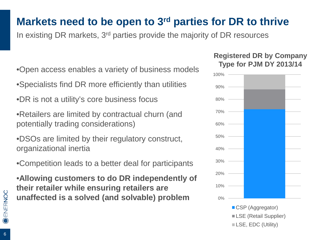# **Markets need to be open to 3rd parties for DR to thrive**

In existing DR markets, 3rd parties provide the majority of DR resources

- •Open access enables a variety of business models
- •Specialists find DR more efficiently than utilities
- •DR is not a utility's core business focus
- •Retailers are limited by contractual churn (and potentially trading considerations)
- •DSOs are limited by their regulatory construct, organizational inertia
- •Competition leads to a better deal for participants
- •**Allowing customers to do DR independently of their retailer while ensuring retailers are unaffected is a solved (and solvable) problem** ox

#### **Registered DR by Company Type for PJM DY 2013/14**



CSP (Aggregator) **LSE** (Retail Supplier) LSE, EDC (Utility)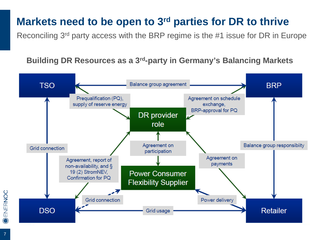## **Markets need to be open to 3rd parties for DR to thrive**

Reconciling 3rd party access with the BRP regime is the #1 issue for DR in Europe

#### **Building DR Resources as a 3rd-party in Germany's Balancing Markets**

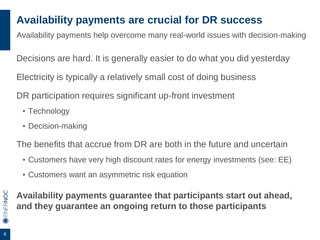# **Availability payments are crucial for DR success**

Availability payments help overcome many real-world issues with decision-making

Decisions are hard. It is generally easier to do what you did yesterday

Electricity is typically a relatively small cost of doing business

DR participation requires significant up-front investment

- Technology
- Decision-making

The benefits that accrue from DR are both in the future and uncertain

- Customers have very high discount rates for energy investments (see: EE)
- Customers want an asymmetric risk equation

**Availability payments guarantee that participants start out ahead, and they guarantee an ongoing return to those participants**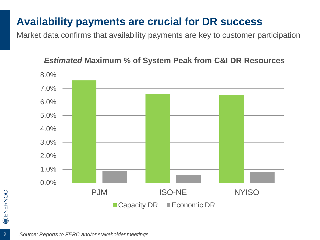## **Availability payments are crucial for DR success**

Market data confirms that availability payments are key to customer participation

# 0.0% 1.0% 2.0% 3.0% 4.0% 5.0% 6.0% 7.0% 8.0% PJM ISO-NE NYISO ■ Capacity DR ■ Economic DR

#### *Estimated* **Maximum % of System Peak from C&I DR Resources**

9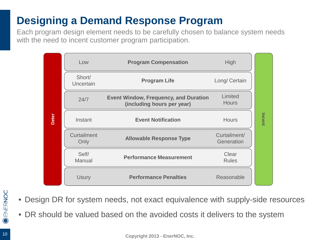# **Designing a Demand Response Program**

Each program design element needs to be carefully chosen to balance system needs with the need to incent customer program participation.

|       | Low                 | <b>Program Compensation</b>                                                | <b>High</b>                |        |  |
|-------|---------------------|----------------------------------------------------------------------------|----------------------------|--------|--|
| Deter | Short/<br>Uncertain | <b>Program Life</b>                                                        | Long/ Certain              | Incent |  |
|       | 24/7                | <b>Event Window, Frequency, and Duration</b><br>(including hours per year) | Limited<br><b>Hours</b>    |        |  |
|       | Instant             | <b>Event Notification</b>                                                  | <b>Hours</b>               |        |  |
|       | Curtailment<br>Only | <b>Allowable Response Type</b>                                             | Curtailment/<br>Generation |        |  |
|       | Self/<br>Manual     | <b>Performance Measurement</b>                                             | Clear<br><b>Rules</b>      |        |  |
|       | <b>Usury</b>        | <b>Performance Penalties</b>                                               | Reasonable                 |        |  |

- **O ENERNOC**
- Design DR for system needs, not exact equivalence with supply-side resources
- DR should be valued based on the avoided costs it delivers to the system